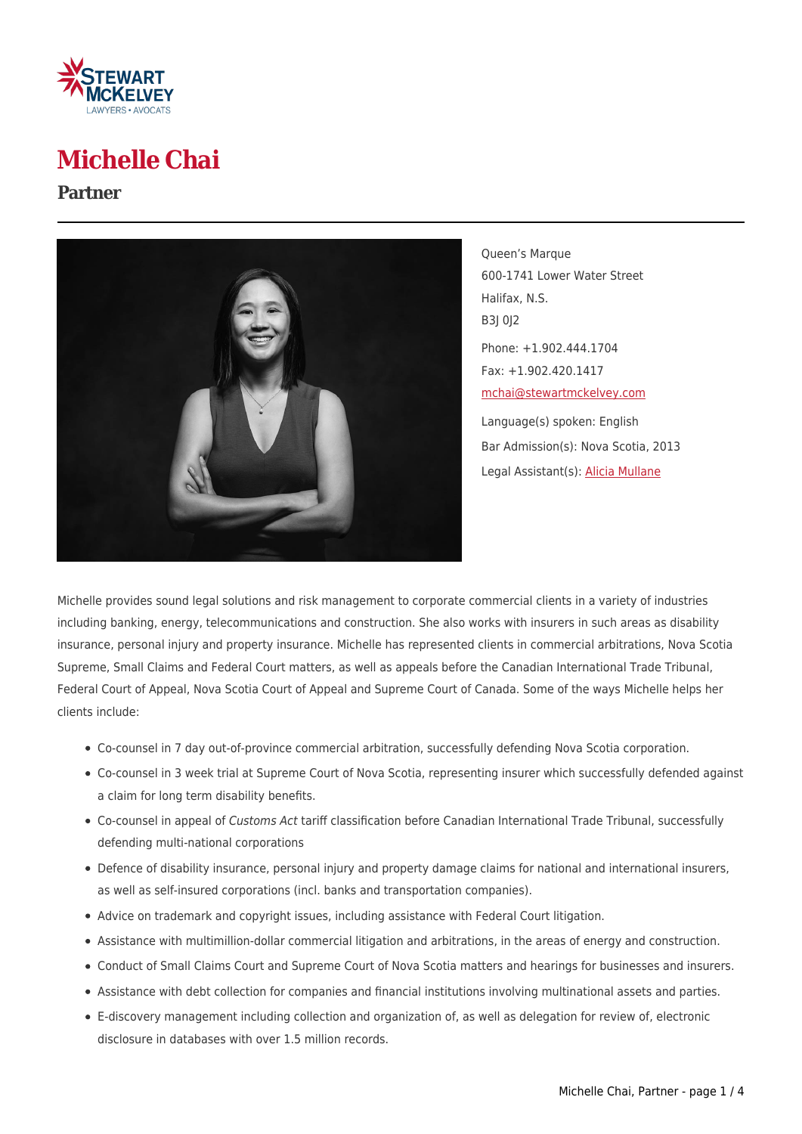

## **Michelle Chai**

#### **Partner**



Queen's Marque 600-1741 Lower Water Street Halifax, N.S. B3J 0J2 Phone: +1.902.444.1704 Fax: +1.902.420.1417 [mchai@stewartmckelvey.com](mailto:mchai@stewartmckelvey.com) Language(s) spoken: English Bar Admission(s): Nova Scotia, 2013 Legal Assistant(s): [Alicia Mullane](https://www.stewartmckelvey.com/legal_assistant/mullane-alicia)

Michelle provides sound legal solutions and risk management to corporate commercial clients in a variety of industries including banking, energy, telecommunications and construction. She also works with insurers in such areas as disability insurance, personal injury and property insurance. Michelle has represented clients in commercial arbitrations, Nova Scotia Supreme, Small Claims and Federal Court matters, as well as appeals before the Canadian International Trade Tribunal, Federal Court of Appeal, Nova Scotia Court of Appeal and Supreme Court of Canada. Some of the ways Michelle helps her clients include:

- Co-counsel in 7 day out-of-province commercial arbitration, successfully defending Nova Scotia corporation.
- Co-counsel in 3 week trial at Supreme Court of Nova Scotia, representing insurer which successfully defended against a claim for long term disability benefits.
- Co-counsel in appeal of Customs Act tariff classification before Canadian International Trade Tribunal, successfully defending multi-national corporations
- Defence of disability insurance, personal injury and property damage claims for national and international insurers, as well as self-insured corporations (incl. banks and transportation companies).
- Advice on trademark and copyright issues, including assistance with Federal Court litigation.
- Assistance with multimillion-dollar commercial litigation and arbitrations, in the areas of energy and construction.
- Conduct of Small Claims Court and Supreme Court of Nova Scotia matters and hearings for businesses and insurers.
- Assistance with debt collection for companies and financial institutions involving multinational assets and parties.
- E-discovery management including collection and organization of, as well as delegation for review of, electronic disclosure in databases with over 1.5 million records.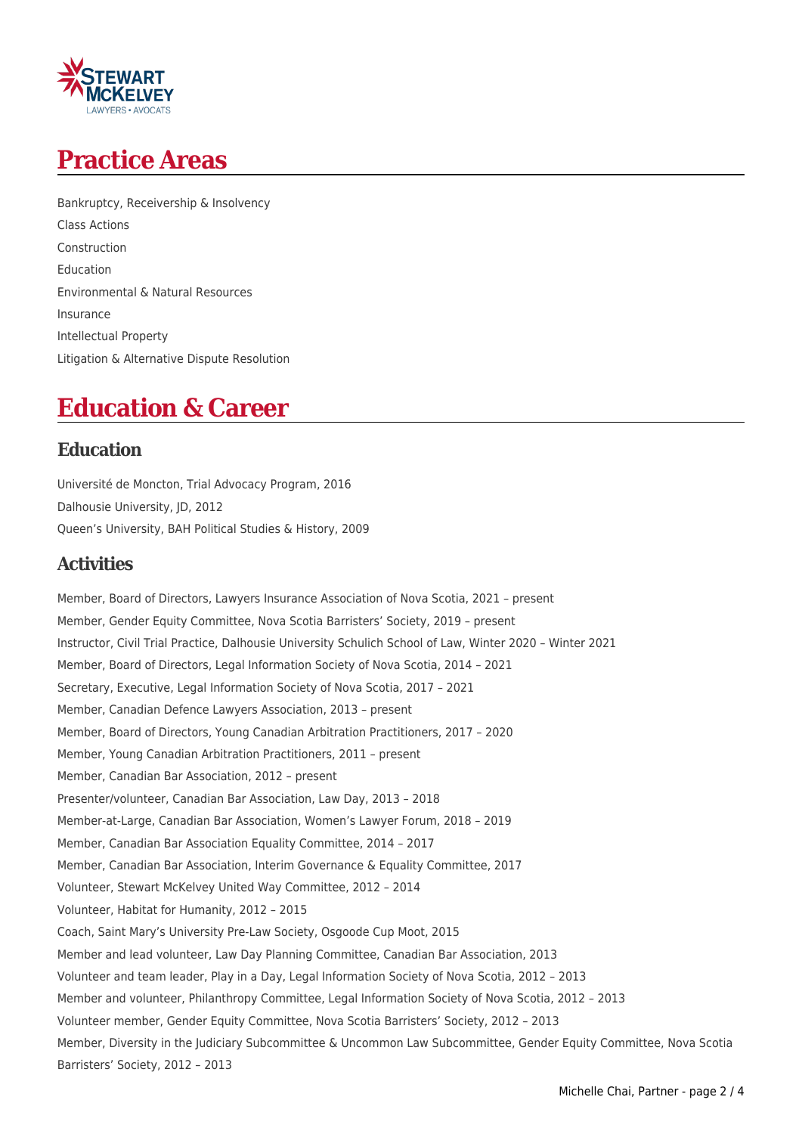## **Practice Areas**

Bankruptcy, Receivership & Insolvency Class Actions Construction Education Environmental & Natural Resources Insurance Intellectual Property Litigation & Alternative Dispute Resolution

## **Education & Career**

## **Education**

Université de Moncton, Trial Advocacy Program, 2016 Dalhousie University, JD, 2012 Queen's University, BAH Political Studies & History, 2009

## **Activities**

Member, Board of Directors, Lawyers Insurance Association of Nova Scotia, 2021 – present Member, Gender Equity Committee, Nova Scotia Barristers' Society, 2019 – present Instructor, Civil Trial Practice, Dalhousie University Schulich School of Law, Winter 2020 – Winter 2021 Member, Board of Directors, Legal Information Society of Nova Scotia, 2014 – 2021 Secretary, Executive, Legal Information Society of Nova Scotia, 2017 – 2021 Member, Canadian Defence Lawyers Association, 2013 – present Member, Board of Directors, Young Canadian Arbitration Practitioners, 2017 – 2020 Member, Young Canadian Arbitration Practitioners, 2011 – present Member, Canadian Bar Association, 2012 – present Presenter/volunteer, Canadian Bar Association, Law Day, 2013 – 2018 Member-at-Large, Canadian Bar Association, Women's Lawyer Forum, 2018 – 2019 Member, Canadian Bar Association Equality Committee, 2014 – 2017 Member, Canadian Bar Association, Interim Governance & Equality Committee, 2017 Volunteer, Stewart McKelvey United Way Committee, 2012 – 2014 Volunteer, Habitat for Humanity, 2012 – 2015 Coach, Saint Mary's University Pre-Law Society, Osgoode Cup Moot, 2015 Member and lead volunteer, Law Day Planning Committee, Canadian Bar Association, 2013 Volunteer and team leader, Play in a Day, Legal Information Society of Nova Scotia, 2012 – 2013 Member and volunteer, Philanthropy Committee, Legal Information Society of Nova Scotia, 2012 – 2013 Volunteer member, Gender Equity Committee, Nova Scotia Barristers' Society, 2012 – 2013 Member, Diversity in the Judiciary Subcommittee & Uncommon Law Subcommittee, Gender Equity Committee, Nova Scotia Barristers' Society, 2012 – 2013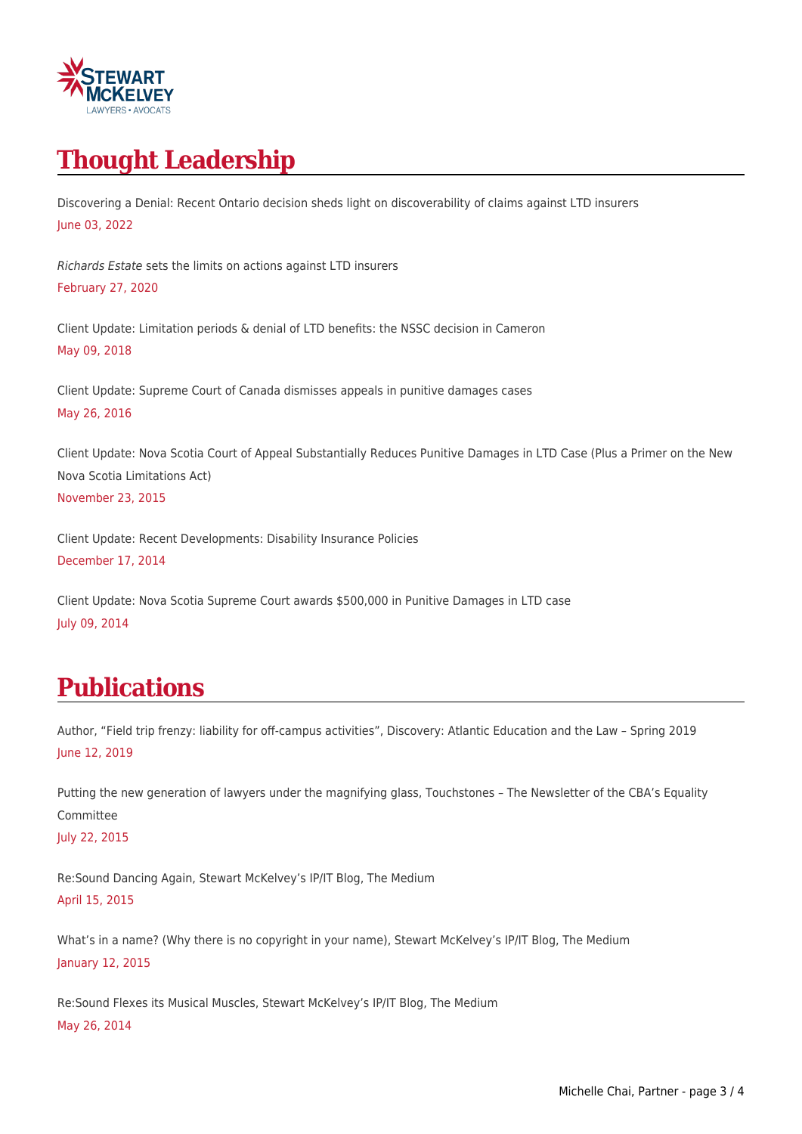

# **Thought Leadership**

Discovering a Denial: Recent Ontario decision sheds light on discoverability of claims against LTD insurers June 03, 2022

Richards Estate sets the limits on actions against LTD insurers February 27, 2020

Client Update: Limitation periods & denial of LTD benefits: the NSSC decision in Cameron May 09, 2018

Client Update: Supreme Court of Canada dismisses appeals in punitive damages cases May 26, 2016

Client Update: Nova Scotia Court of Appeal Substantially Reduces Punitive Damages in LTD Case (Plus a Primer on the New Nova Scotia Limitations Act) November 23, 2015

Client Update: Recent Developments: Disability Insurance Policies December 17, 2014

Client Update: Nova Scotia Supreme Court awards \$500,000 in Punitive Damages in LTD case July 09, 2014

## **Publications**

Author, "Field trip frenzy: liability for off-campus activities", Discovery: Atlantic Education and the Law – Spring 2019 June 12, 2019

Putting the new generation of lawyers under the magnifying glass, Touchstones – The Newsletter of the CBA's Equality Committee

July 22, 2015

Re:Sound Dancing Again, Stewart McKelvey's IP/IT Blog, The Medium April 15, 2015

What's in a name? (Why there is no copyright in your name), Stewart McKelvey's IP/IT Blog, The Medium January 12, 2015

Re:Sound Flexes its Musical Muscles, Stewart McKelvey's IP/IT Blog, The Medium May 26, 2014